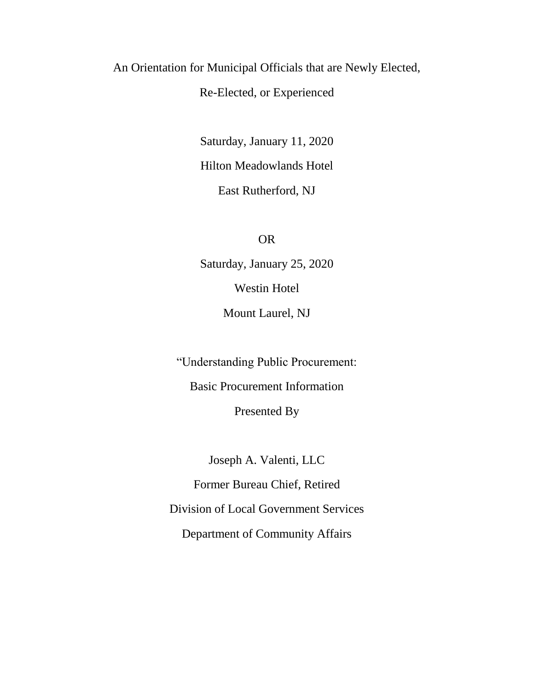## An Orientation for Municipal Officials that are Newly Elected,

## Re-Elected, or Experienced

Saturday, January 11, 2020 Hilton Meadowlands Hotel East Rutherford, NJ

OR

Saturday, January 25, 2020 Westin Hotel Mount Laurel, NJ

"Understanding Public Procurement:

Basic Procurement Information

Presented By

Joseph A. Valenti, LLC Former Bureau Chief, Retired Division of Local Government Services Department of Community Affairs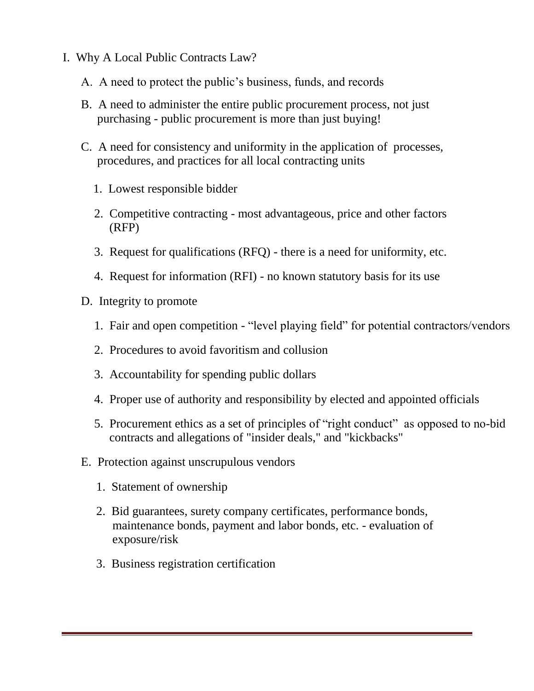- I. Why A Local Public Contracts Law?
	- A. A need to protect the public's business, funds, and records
	- B. A need to administer the entire public procurement process, not just purchasing - public procurement is more than just buying!
	- C. A need for consistency and uniformity in the application of processes, procedures, and practices for all local contracting units
		- 1. Lowest responsible bidder
		- 2. Competitive contracting most advantageous, price and other factors (RFP)
		- 3. Request for qualifications (RFQ) there is a need for uniformity, etc.
		- 4. Request for information (RFI) no known statutory basis for its use
	- D. Integrity to promote
		- 1. Fair and open competition "level playing field" for potential contractors/vendors
		- 2. Procedures to avoid favoritism and collusion
		- 3. Accountability for spending public dollars
		- 4. Proper use of authority and responsibility by elected and appointed officials
		- 5. Procurement ethics as a set of principles of "right conduct" as opposed to no-bid contracts and allegations of "insider deals," and "kickbacks"
	- E. Protection against unscrupulous vendors
		- 1. Statement of ownership
		- 2. Bid guarantees, surety company certificates, performance bonds, maintenance bonds, payment and labor bonds, etc. - evaluation of exposure/risk
		- 3. Business registration certification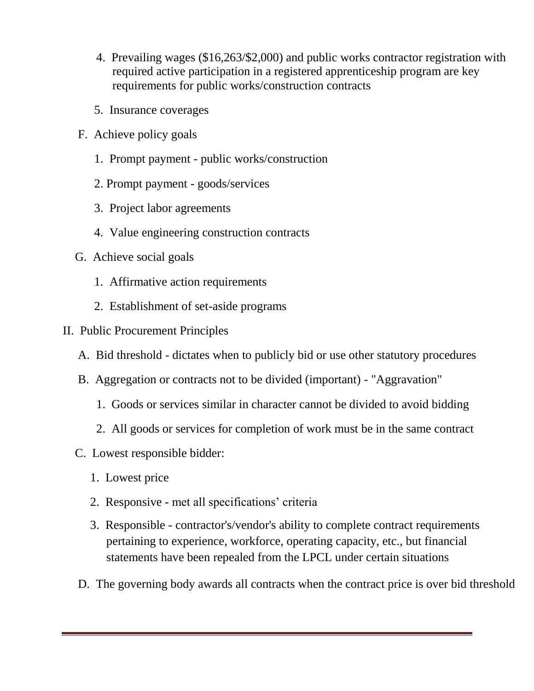- 4. Prevailing wages (\$16,263/\$2,000) and public works contractor registration with required active participation in a registered apprenticeship program are key requirements for public works/construction contracts
- 5. Insurance coverages
- F. Achieve policy goals
	- 1. Prompt payment public works/construction
	- 2. Prompt payment goods/services
	- 3. Project labor agreements
	- 4. Value engineering construction contracts
- G. Achieve social goals
	- 1. Affirmative action requirements
	- 2. Establishment of set-aside programs
- II. Public Procurement Principles
	- A. Bid threshold dictates when to publicly bid or use other statutory procedures
	- B. Aggregation or contracts not to be divided (important) "Aggravation"
		- 1. Goods or services similar in character cannot be divided to avoid bidding
		- 2. All goods or services for completion of work must be in the same contract
	- C. Lowest responsible bidder:
		- 1. Lowest price
		- 2. Responsive met all specifications' criteria
		- 3. Responsible contractor's/vendor's ability to complete contract requirements pertaining to experience, workforce, operating capacity, etc., but financial statements have been repealed from the LPCL under certain situations
	- D. The governing body awards all contracts when the contract price is over bid threshold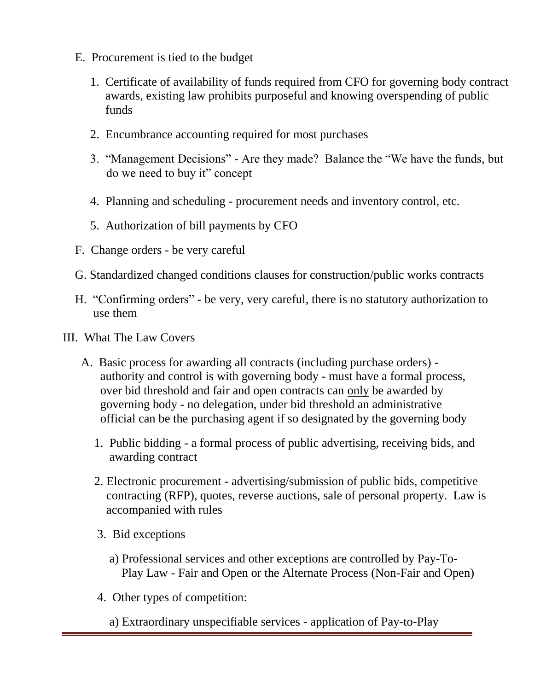- E. Procurement is tied to the budget
	- 1. Certificate of availability of funds required from CFO for governing body contract awards, existing law prohibits purposeful and knowing overspending of public funds
	- 2. Encumbrance accounting required for most purchases
	- 3. "Management Decisions" Are they made? Balance the "We have the funds, but do we need to buy it" concept
	- 4. Planning and scheduling procurement needs and inventory control, etc.
	- 5. Authorization of bill payments by CFO
- F. Change orders be very careful
- G. Standardized changed conditions clauses for construction/public works contracts
- H. "Confirming orders" be very, very careful, there is no statutory authorization to use them
- III. What The Law Covers
	- A. Basic process for awarding all contracts (including purchase orders) authority and control is with governing body - must have a formal process, over bid threshold and fair and open contracts can only be awarded by governing body - no delegation, under bid threshold an administrative official can be the purchasing agent if so designated by the governing body
		- 1. Public bidding a formal process of public advertising, receiving bids, and awarding contract
		- 2. Electronic procurement advertising/submission of public bids, competitive contracting (RFP), quotes, reverse auctions, sale of personal property. Law is accompanied with rules
		- 3. Bid exceptions
			- a) Professional services and other exceptions are controlled by Pay-To- Play Law - Fair and Open or the Alternate Process (Non-Fair and Open)
		- 4. Other types of competition:
			- a) Extraordinary unspecifiable services application of Pay-to-Play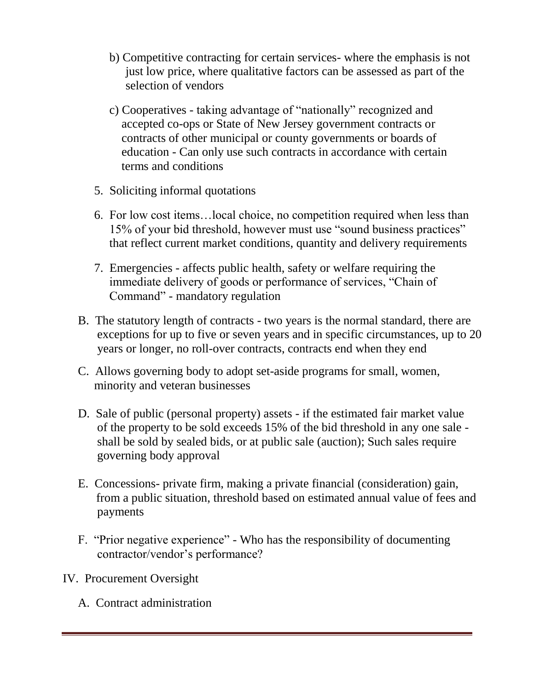- b) Competitive contracting for certain services- where the emphasis is not just low price, where qualitative factors can be assessed as part of the selection of vendors
- c) Cooperatives taking advantage of "nationally" recognized and accepted co-ops or State of New Jersey government contracts or contracts of other municipal or county governments or boards of education - Can only use such contracts in accordance with certain terms and conditions
- 5. Soliciting informal quotations
- 6. For low cost items…local choice, no competition required when less than 15% of your bid threshold, however must use "sound business practices" that reflect current market conditions, quantity and delivery requirements
- 7. Emergencies affects public health, safety or welfare requiring the immediate delivery of goods or performance of services, "Chain of Command" - mandatory regulation
- B. The statutory length of contracts two years is the normal standard, there are exceptions for up to five or seven years and in specific circumstances, up to 20 years or longer, no roll-over contracts, contracts end when they end
- C. Allows governing body to adopt set-aside programs for small, women, minority and veteran businesses
- D. Sale of public (personal property) assets if the estimated fair market value of the property to be sold exceeds 15% of the bid threshold in any one sale shall be sold by sealed bids, or at public sale (auction); Such sales require governing body approval
- E. Concessions- private firm, making a private financial (consideration) gain, from a public situation, threshold based on estimated annual value of fees and payments
- F. "Prior negative experience" Who has the responsibility of documenting contractor/vendor's performance?
- IV. Procurement Oversight
	- A. Contract administration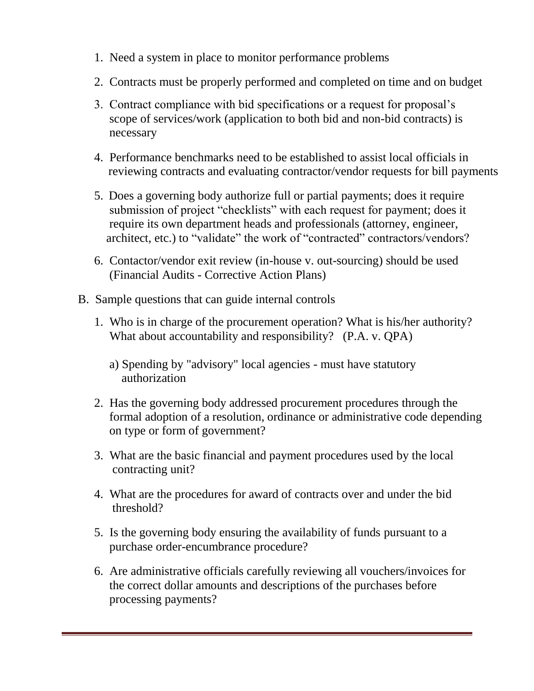- 1. Need a system in place to monitor performance problems
- 2. Contracts must be properly performed and completed on time and on budget
- 3. Contract compliance with bid specifications or a request for proposal's scope of services/work (application to both bid and non-bid contracts) is necessary
- 4. Performance benchmarks need to be established to assist local officials in reviewing contracts and evaluating contractor/vendor requests for bill payments
- 5. Does a governing body authorize full or partial payments; does it require submission of project "checklists" with each request for payment; does it require its own department heads and professionals (attorney, engineer, architect, etc.) to "validate" the work of "contracted" contractors/vendors?
- 6. Contactor/vendor exit review (in-house v. out-sourcing) should be used (Financial Audits - Corrective Action Plans)
- B. Sample questions that can guide internal controls
	- 1. Who is in charge of the procurement operation? What is his/her authority? What about accountability and responsibility? (P.A. v. QPA)
		- a) Spending by "advisory" local agencies must have statutory authorization
	- 2. Has the governing body addressed procurement procedures through the formal adoption of a resolution, ordinance or administrative code depending on type or form of government?
	- 3. What are the basic financial and payment procedures used by the local contracting unit?
	- 4. What are the procedures for award of contracts over and under the bid threshold?
	- 5. Is the governing body ensuring the availability of funds pursuant to a purchase order-encumbrance procedure?
	- 6. Are administrative officials carefully reviewing all vouchers/invoices for the correct dollar amounts and descriptions of the purchases before processing payments?